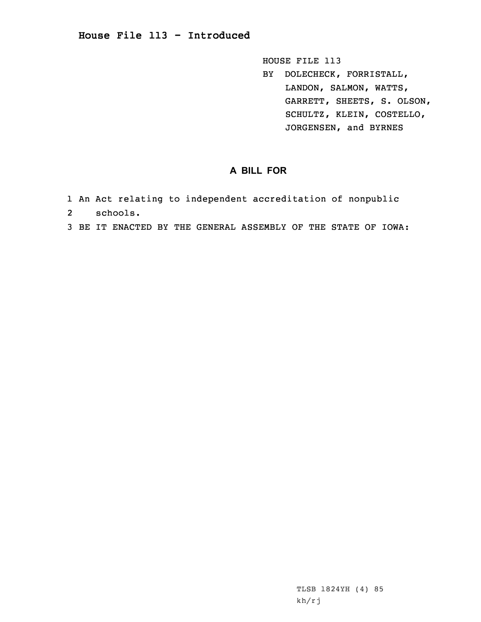## **House File 113 - Introduced**

HOUSE FILE 113 BY DOLECHECK, FORRISTALL, LANDON, SALMON, WATTS, GARRETT, SHEETS, S. OLSON, SCHULTZ, KLEIN, COSTELLO, JORGENSEN, and BYRNES

## **A BILL FOR**

- 1 An Act relating to independent accreditation of nonpublic
- 2schools.
- 3 BE IT ENACTED BY THE GENERAL ASSEMBLY OF THE STATE OF IOWA: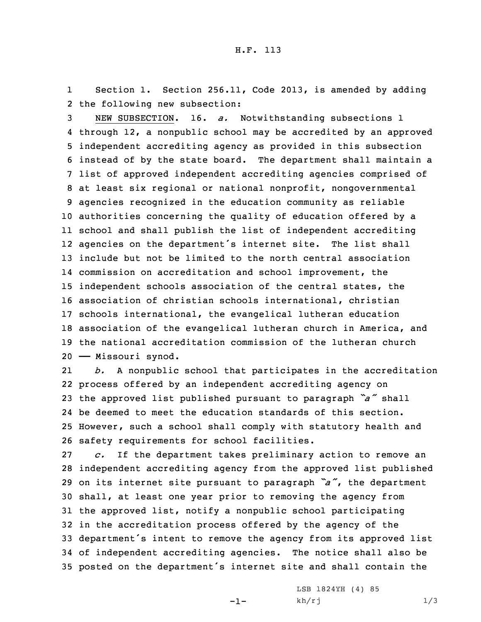1 Section 1. Section 256.11, Code 2013, is amended by adding 2 the following new subsection:

 NEW SUBSECTION. 16. *a.* Notwithstanding subsections 1 through 12, <sup>a</sup> nonpublic school may be accredited by an approved independent accrediting agency as provided in this subsection instead of by the state board. The department shall maintain <sup>a</sup> list of approved independent accrediting agencies comprised of at least six regional or national nonprofit, nongovernmental agencies recognized in the education community as reliable authorities concerning the quality of education offered by <sup>a</sup> school and shall publish the list of independent accrediting agencies on the department's internet site. The list shall include but not be limited to the north central association commission on accreditation and school improvement, the independent schools association of the central states, the association of christian schools international, christian schools international, the evangelical lutheran education association of the evangelical lutheran church in America, and the national accreditation commission of the lutheran church —— Missouri synod.

21 *b.* <sup>A</sup> nonpublic school that participates in the accreditation process offered by an independent accrediting agency on the approved list published pursuant to paragraph *"a"* shall be deemed to meet the education standards of this section. However, such <sup>a</sup> school shall comply with statutory health and safety requirements for school facilities.

 *c.* If the department takes preliminary action to remove an independent accrediting agency from the approved list published on its internet site pursuant to paragraph *"a"*, the department shall, at least one year prior to removing the agency from the approved list, notify <sup>a</sup> nonpublic school participating in the accreditation process offered by the agency of the department's intent to remove the agency from its approved list of independent accrediting agencies. The notice shall also be posted on the department's internet site and shall contain the

-1-

LSB 1824YH (4) 85  $kh/rj$  1/3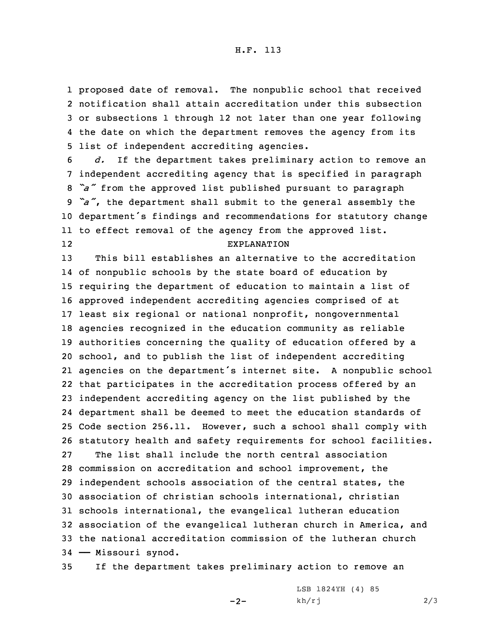proposed date of removal. The nonpublic school that received notification shall attain accreditation under this subsection or subsections 1 through 12 not later than one year following the date on which the department removes the agency from its list of independent accrediting agencies.

 *d.* If the department takes preliminary action to remove an independent accrediting agency that is specified in paragraph *"a"* from the approved list published pursuant to paragraph *"a"*, the department shall submit to the general assembly the department's findings and recommendations for statutory change to effect removal of the agency from the approved list. 12EXPLANATION

 This bill establishes an alternative to the accreditation of nonpublic schools by the state board of education by requiring the department of education to maintain <sup>a</sup> list of approved independent accrediting agencies comprised of at least six regional or national nonprofit, nongovernmental agencies recognized in the education community as reliable authorities concerning the quality of education offered by <sup>a</sup> school, and to publish the list of independent accrediting agencies on the department's internet site. <sup>A</sup> nonpublic school that participates in the accreditation process offered by an independent accrediting agency on the list published by the department shall be deemed to meet the education standards of Code section 256.11. However, such <sup>a</sup> school shall comply with statutory health and safety requirements for school facilities. The list shall include the north central association commission on accreditation and school improvement, the independent schools association of the central states, the association of christian schools international, christian schools international, the evangelical lutheran education association of the evangelical lutheran church in America, and the national accreditation commission of the lutheran church —— Missouri synod.

35 If the department takes preliminary action to remove an

 $-2-$ 

LSB 1824YH (4) 85  $kh/rj$  2/3